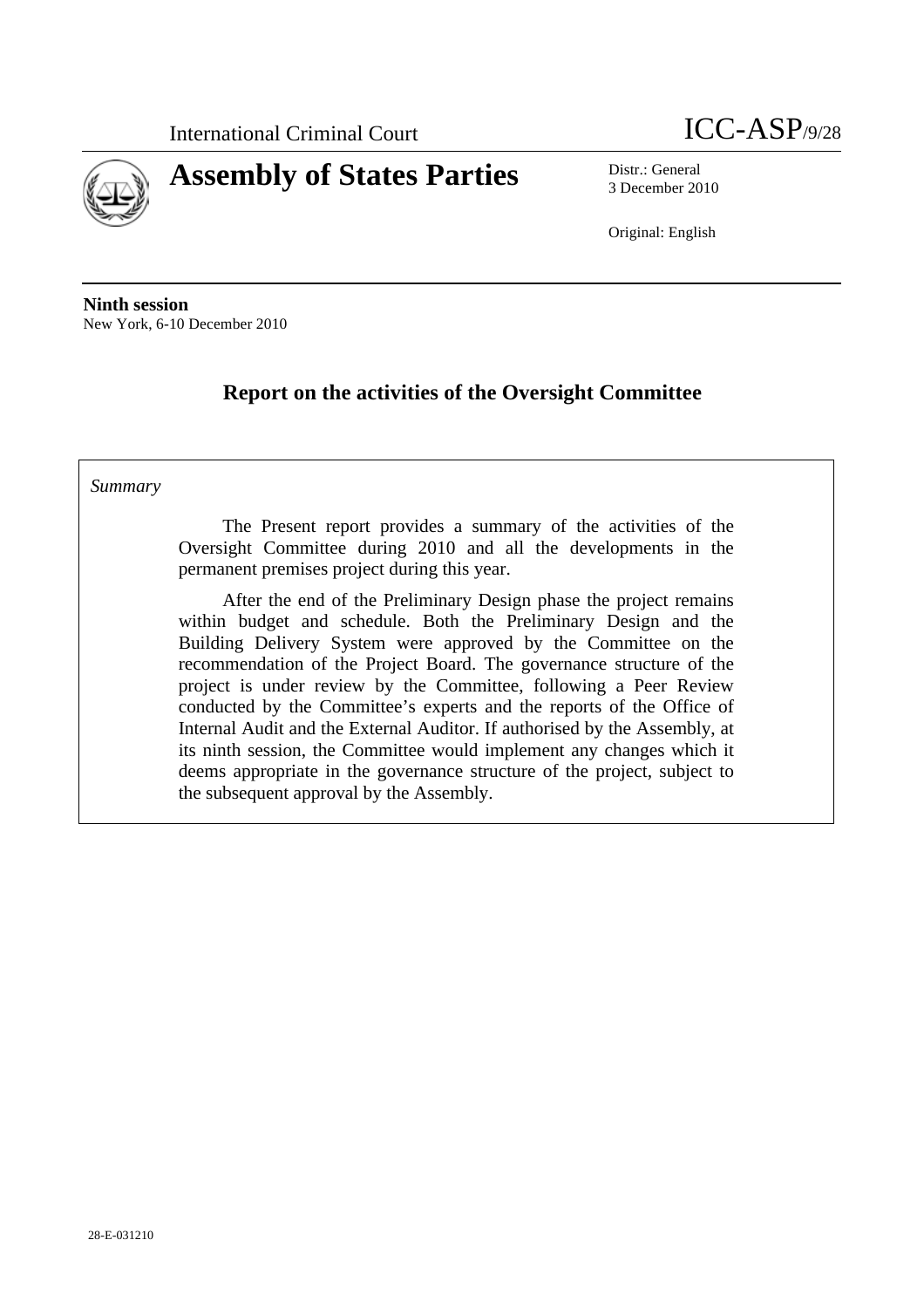



3 December 2010

Original: English

**Ninth session** New York, 6-10 December 2010

## **Report on the activities of the Oversight Committee**

#### *Summary*

The Present report provides a summary of the activities of the Oversight Committee during 2010 and all the developments in the permanent premises project during this year.

After the end of the Preliminary Design phase the project remains within budget and schedule. Both the Preliminary Design and the Building Delivery System were approved by the Committee on the recommendation of the Project Board. The governance structure of the project is under review by the Committee, following a Peer Review conducted by the Committee's experts and the reports of the Office of Internal Audit and the External Auditor. If authorised by the Assembly, at its ninth session, the Committee would implement any changes which it deems appropriate in the governance structure of the project, subject to the subsequent approval by the Assembly.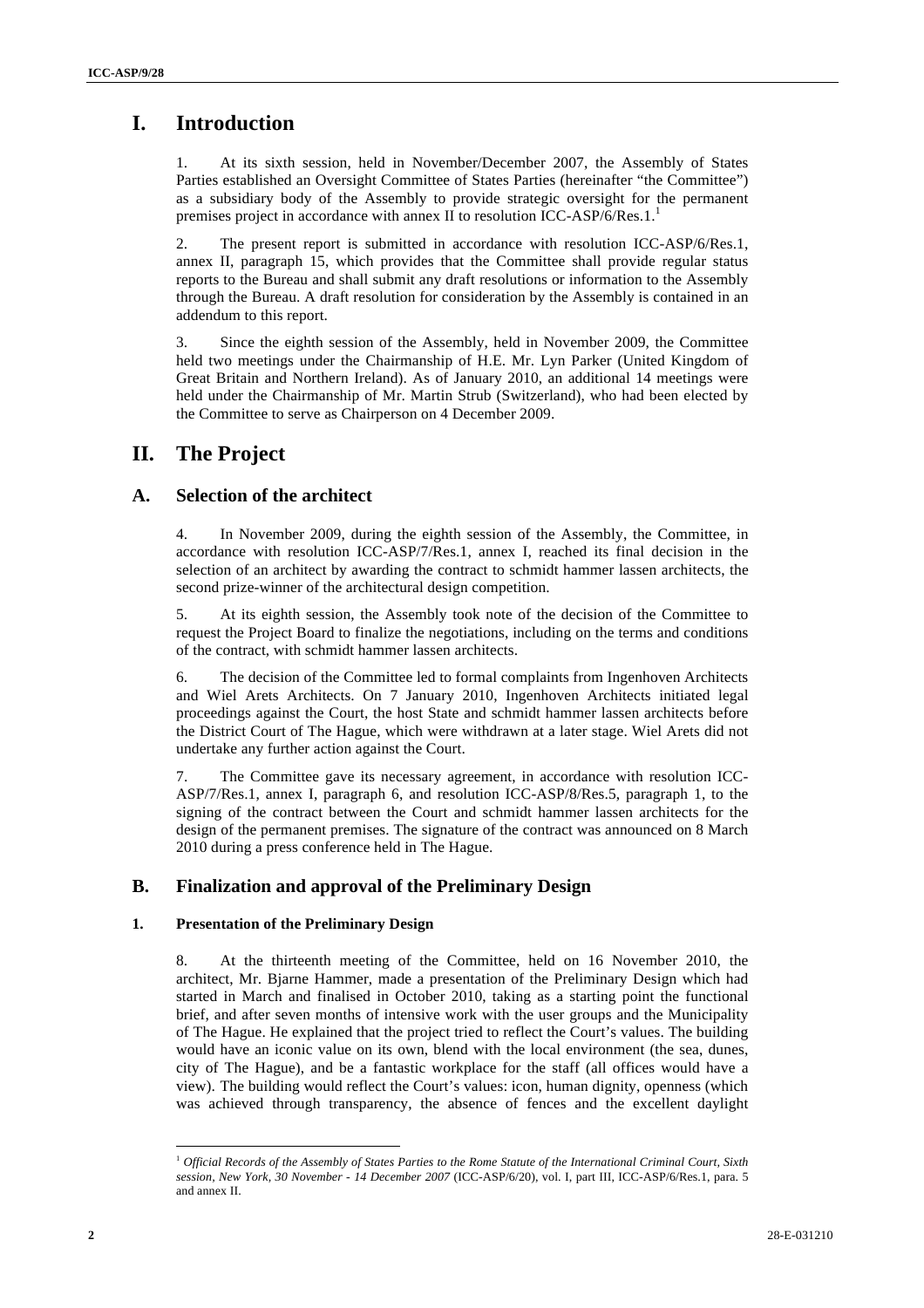## **I. Introduction**

1. At its sixth session, held in November/December 2007, the Assembly of States Parties established an Oversight Committee of States Parties (hereinafter "the Committee") as a subsidiary body of the Assembly to provide strategic oversight for the permanent premises project in accordance with annex II to resolution ICC-ASP/6/Res.1.<sup>1</sup>

2. The present report is submitted in accordance with resolution ICC-ASP/6/Res.1, annex II, paragraph 15, which provides that the Committee shall provide regular status reports to the Bureau and shall submit any draft resolutions or information to the Assembly through the Bureau. A draft resolution for consideration by the Assembly is contained in an addendum to this report.

3. Since the eighth session of the Assembly, held in November 2009, the Committee held two meetings under the Chairmanship of H.E. Mr. Lyn Parker (United Kingdom of Great Britain and Northern Ireland). As of January 2010, an additional 14 meetings were held under the Chairmanship of Mr. Martin Strub (Switzerland), who had been elected by the Committee to serve as Chairperson on 4 December 2009.

### **II. The Project**

#### **A. Selection of the architect**

4. In November 2009, during the eighth session of the Assembly, the Committee, in accordance with resolution ICC-ASP/7/Res.1, annex I, reached its final decision in the selection of an architect by awarding the contract to schmidt hammer lassen architects, the second prize-winner of the architectural design competition.

5. At its eighth session, the Assembly took note of the decision of the Committee to request the Project Board to finalize the negotiations, including on the terms and conditions of the contract, with schmidt hammer lassen architects.

6. The decision of the Committee led to formal complaints from Ingenhoven Architects and Wiel Arets Architects. On 7 January 2010, Ingenhoven Architects initiated legal proceedings against the Court, the host State and schmidt hammer lassen architects before the District Court of The Hague, which were withdrawn at a later stage. Wiel Arets did not undertake any further action against the Court.

7. The Committee gave its necessary agreement, in accordance with resolution ICC-ASP/7/Res.1, annex I, paragraph 6, and resolution ICC-ASP/8/Res.5, paragraph 1, to the signing of the contract between the Court and schmidt hammer lassen architects for the design of the permanent premises. The signature of the contract was announced on 8 March 2010 during a press conference held in The Hague.

#### **B. Finalization and approval of the Preliminary Design**

#### **1. Presentation of the Preliminary Design**

8. At the thirteenth meeting of the Committee, held on 16 November 2010, the architect, Mr. Bjarne Hammer, made a presentation of the Preliminary Design which had started in March and finalised in October 2010, taking as a starting point the functional brief, and after seven months of intensive work with the user groups and the Municipality of The Hague. He explained that the project tried to reflect the Court's values. The building would have an iconic value on its own, blend with the local environment (the sea, dunes, city of The Hague), and be a fantastic workplace for the staff (all offices would have a view). The building would reflect the Court's values: icon, human dignity, openness (which was achieved through transparency, the absence of fences and the excellent daylight

 <sup>1</sup> *Official Records of the Assembly of States Parties to the Rome Statute of the International Criminal Court, Sixth session, New York, 30 November - 14 December 2007* (ICC-ASP/6/20), vol. I, part III, ICC-ASP/6/Res.1, para. 5 and annex II.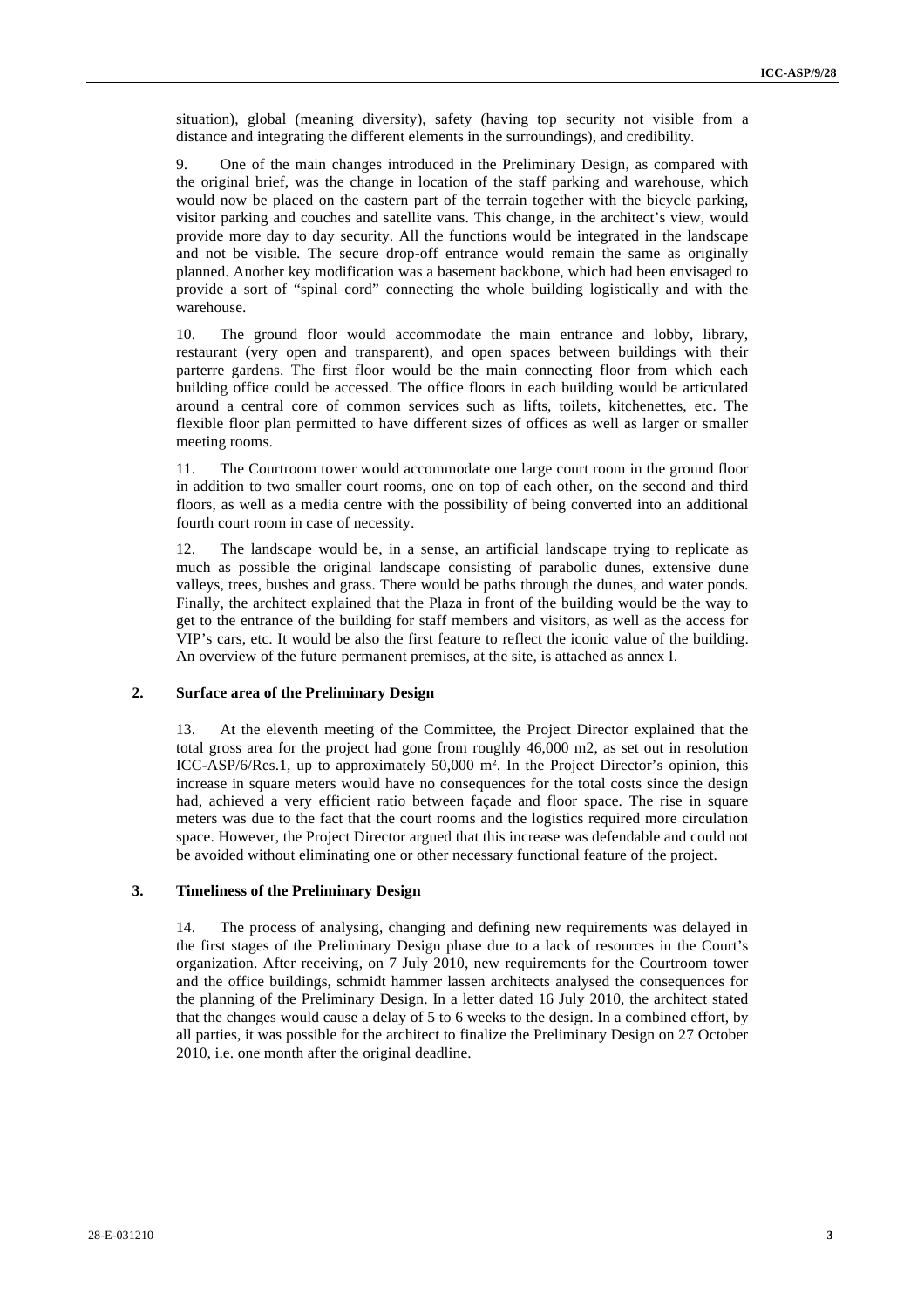situation), global (meaning diversity), safety (having top security not visible from a 3 distance and integrating the different elements in the surroundings), and credibility.

9. One of the main changes introduced in the Preliminary Design, as compared with the original brief, was the change in location of the staff parking and warehouse, which would now be placed on the eastern part of the terrain together with the bicycle parking, visitor parking and couches and satellite vans. This change, in the architect's view, would provide more day to day security. All the functions would be integrated in the landscape and not be visible. The secure drop-off entrance would remain the same as originally planned. Another key modification was a basement backbone, which had been envisaged to provide a sort of "spinal cord" connecting the whole building logistically and with the warehouse.

10. The ground floor would accommodate the main entrance and lobby, library, restaurant (very open and transparent), and open spaces between buildings with their parterre gardens. The first floor would be the main connecting floor from which each building office could be accessed. The office floors in each building would be articulated around a central core of common services such as lifts, toilets, kitchenettes, etc. The flexible floor plan permitted to have different sizes of offices as well as larger or smaller meeting rooms.

11. The Courtroom tower would accommodate one large court room in the ground floor in addition to two smaller court rooms, one on top of each other, on the second and third floors, as well as a media centre with the possibility of being converted into an additional fourth court room in case of necessity.

12. The landscape would be, in a sense, an artificial landscape trying to replicate as much as possible the original landscape consisting of parabolic dunes, extensive dune valleys, trees, bushes and grass. There would be paths through the dunes, and water ponds. Finally, the architect explained that the Plaza in front of the building would be the way to get to the entrance of the building for staff members and visitors, as well as the access for VIP's cars, etc. It would be also the first feature to reflect the iconic value of the building. An overview of the future permanent premises, at the site, is attached as annex I.

#### **2. Surface area of the Preliminary Design**

13. At the eleventh meeting of the Committee, the Project Director explained that the total gross area for the project had gone from roughly 46,000 m2, as set out in resolution ICC-ASP/6/Res.1, up to approximately 50,000 m<sup>2</sup>. In the Project Director's opinion, this increase in square meters would have no consequences for the total costs since the design had, achieved a very efficient ratio between façade and floor space. The rise in square meters was due to the fact that the court rooms and the logistics required more circulation space. However, the Project Director argued that this increase was defendable and could not be avoided without eliminating one or other necessary functional feature of the project.

#### **3. Timeliness of the Preliminary Design**

14. The process of analysing, changing and defining new requirements was delayed in the first stages of the Preliminary Design phase due to a lack of resources in the Court's organization. After receiving, on 7 July 2010, new requirements for the Courtroom tower and the office buildings, schmidt hammer lassen architects analysed the consequences for the planning of the Preliminary Design. In a letter dated 16 July 2010, the architect stated that the changes would cause a delay of 5 to 6 weeks to the design. In a combined effort, by all parties, it was possible for the architect to finalize the Preliminary Design on 27 October 2010, i.e. one month after the original deadline.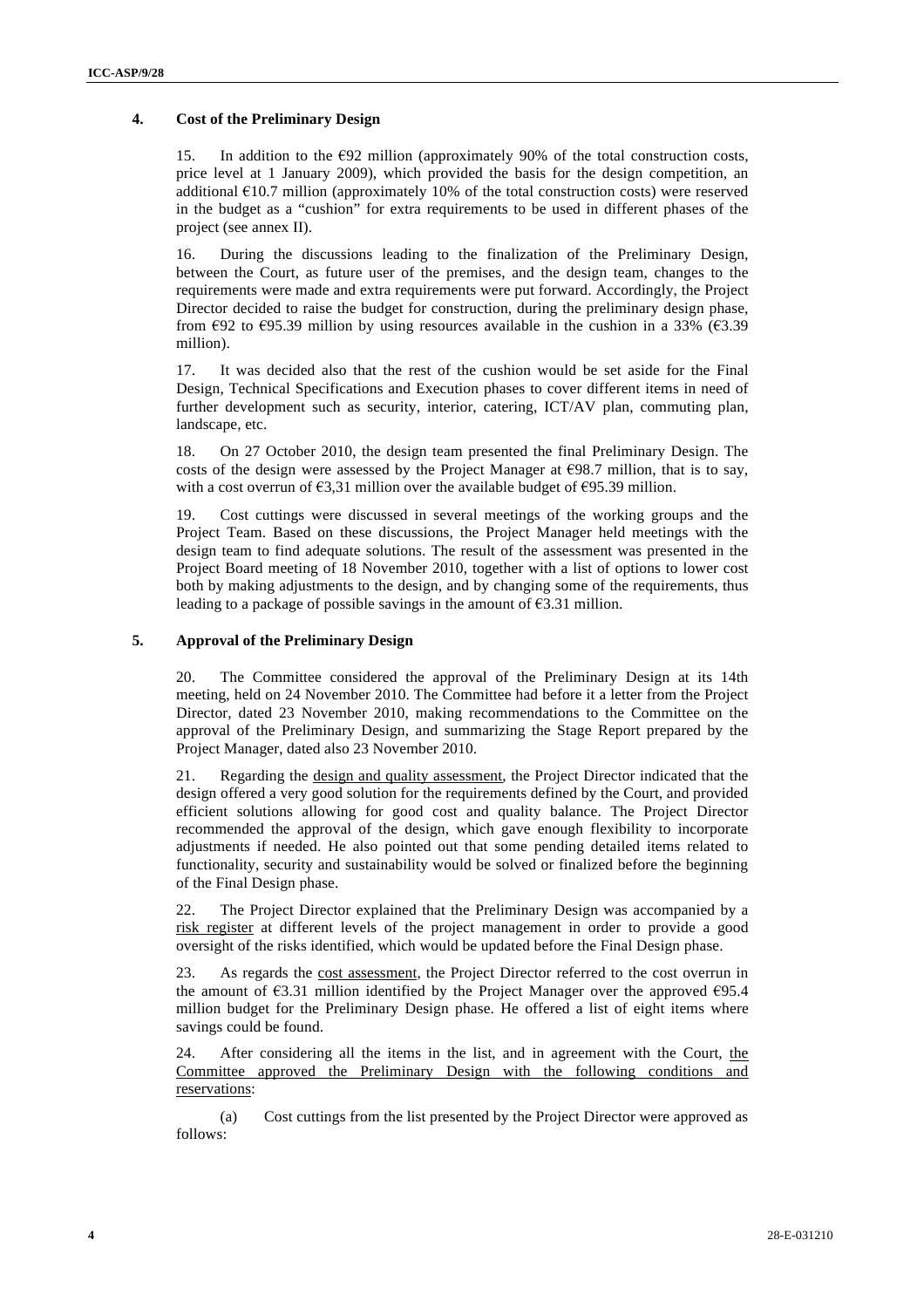#### **4. Cost of the Preliminary Design** <sup>4</sup>

15. In addition to the  $\epsilon$ 92 million (approximately 90% of the total construction costs, price level at 1 January 2009), which provided the basis for the design competition, an additional  $\epsilon$ 10.7 million (approximately 10% of the total construction costs) were reserved in the budget as a "cushion" for extra requirements to be used in different phases of the project (see annex II).

16. During the discussions leading to the finalization of the Preliminary Design, between the Court, as future user of the premises, and the design team, changes to the requirements were made and extra requirements were put forward. Accordingly, the Project Director decided to raise the budget for construction, during the preliminary design phase, from  $\epsilon$ 92 to  $\epsilon$ 95.39 million by using resources available in the cushion in a 33% ( $\epsilon$ 3.39 million).

17. It was decided also that the rest of the cushion would be set aside for the Final Design, Technical Specifications and Execution phases to cover different items in need of further development such as security, interior, catering, ICT/AV plan, commuting plan, landscape, etc.

18. On 27 October 2010, the design team presented the final Preliminary Design. The costs of the design were assessed by the Project Manager at  $\epsilon$ 98.7 million, that is to say, with a cost overrun of  $\epsilon$ 3,31 million over the available budget of  $\epsilon$ 95.39 million.

19. Cost cuttings were discussed in several meetings of the working groups and the Project Team. Based on these discussions, the Project Manager held meetings with the design team to find adequate solutions. The result of the assessment was presented in the Project Board meeting of 18 November 2010, together with a list of options to lower cost both by making adjustments to the design, and by changing some of the requirements, thus leading to a package of possible savings in the amount of  $\epsilon$ 3.31 million.

#### **5. Approval of the Preliminary Design**

20. The Committee considered the approval of the Preliminary Design at its 14th meeting, held on 24 November 2010. The Committee had before it a letter from the Project Director, dated 23 November 2010, making recommendations to the Committee on the approval of the Preliminary Design, and summarizing the Stage Report prepared by the Project Manager, dated also 23 November 2010.

21. Regarding the design and quality assessment, the Project Director indicated that the design offered a very good solution for the requirements defined by the Court, and provided efficient solutions allowing for good cost and quality balance. The Project Director recommended the approval of the design, which gave enough flexibility to incorporate adjustments if needed. He also pointed out that some pending detailed items related to functionality, security and sustainability would be solved or finalized before the beginning of the Final Design phase.

22. The Project Director explained that the Preliminary Design was accompanied by a risk register at different levels of the project management in order to provide a good oversight of the risks identified, which would be updated before the Final Design phase.

23. As regards the cost assessment, the Project Director referred to the cost overrun in the amount of  $\epsilon$ 3.31 million identified by the Project Manager over the approved  $\epsilon$ 95.4 million budget for the Preliminary Design phase. He offered a list of eight items where savings could be found.

24. After considering all the items in the list, and in agreement with the Court, the Committee approved the Preliminary Design with the following conditions and reservations:

(a) Cost cuttings from the list presented by the Project Director were approved as follows: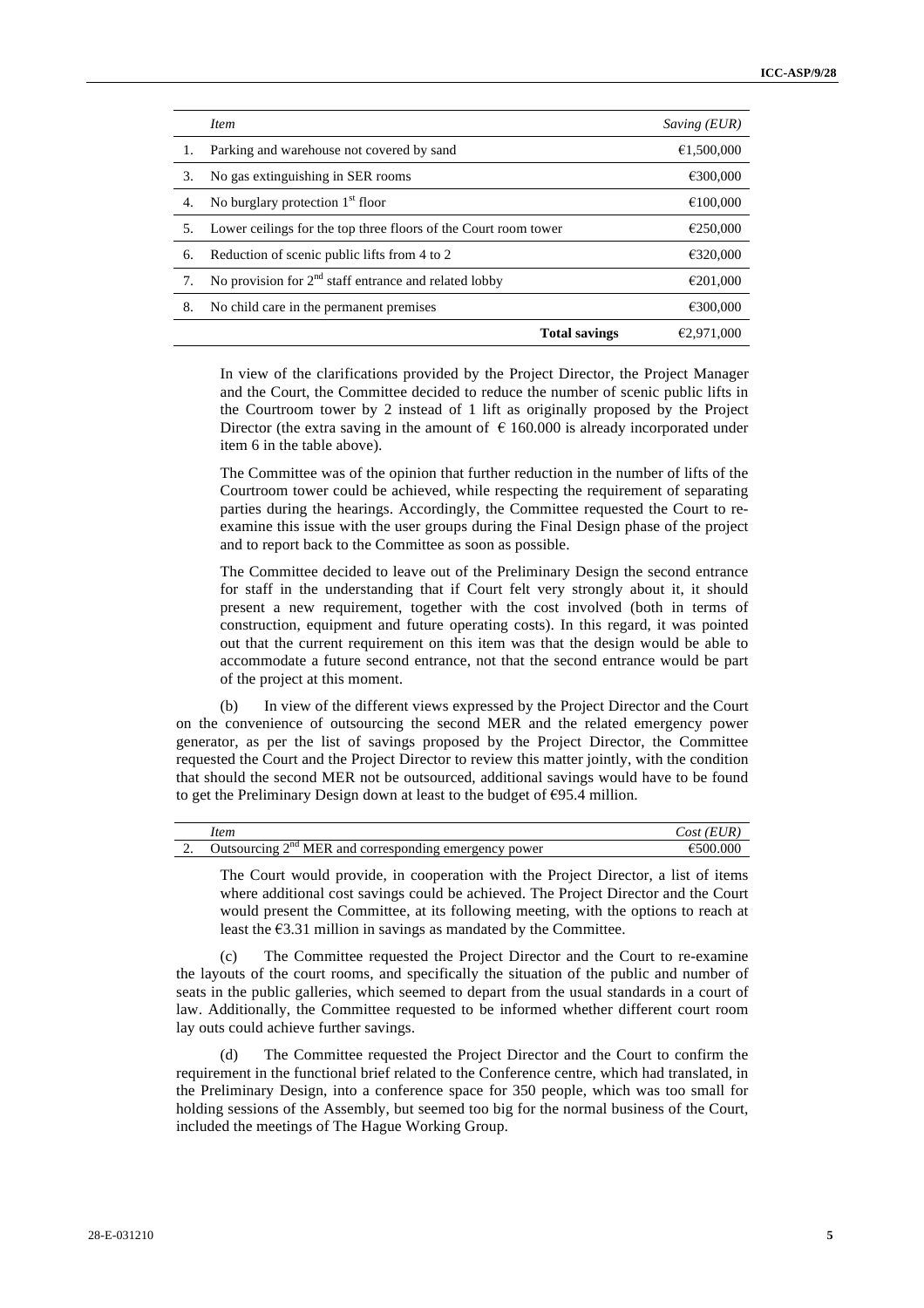|     | <i>Item</i>                                                     | Saving (EUR) |
|-----|-----------------------------------------------------------------|--------------|
| 1.  | Parking and warehouse not covered by sand                       | €1,500,000   |
| 3.  | No gas extinguishing in SER rooms                               | €300,000     |
| 4.  | No burglary protection $1st$ floor                              | €100,000     |
| .5. | Lower ceilings for the top three floors of the Court room tower | €250,000     |
| 6.  | Reduction of scenic public lifts from 4 to 2                    | €320,000     |
| 7.  | No provision for $2nd$ staff entrance and related lobby         | €201,000     |
| 8.  | No child care in the permanent premises                         | €300,000     |
|     | <b>Total savings</b>                                            | €2.971.000   |

In view of the clarifications provided by the Project Director, the Project Manager and the Court, the Committee decided to reduce the number of scenic public lifts in the Courtroom tower by 2 instead of 1 lift as originally proposed by the Project Director (the extra saving in the amount of  $\epsilon$  160.000 is already incorporated under item 6 in the table above).

The Committee was of the opinion that further reduction in the number of lifts of the Courtroom tower could be achieved, while respecting the requirement of separating parties during the hearings. Accordingly, the Committee requested the Court to reexamine this issue with the user groups during the Final Design phase of the project and to report back to the Committee as soon as possible.

The Committee decided to leave out of the Preliminary Design the second entrance for staff in the understanding that if Court felt very strongly about it, it should present a new requirement, together with the cost involved (both in terms of construction, equipment and future operating costs). In this regard, it was pointed out that the current requirement on this item was that the design would be able to accommodate a future second entrance, not that the second entrance would be part of the project at this moment.

(b) In view of the different views expressed by the Project Director and the Court on the convenience of outsourcing the second MER and the related emergency power generator, as per the list of savings proposed by the Project Director, the Committee requested the Court and the Project Director to review this matter jointly, with the condition that should the second MER not be outsourced, additional savings would have to be found to get the Preliminary Design down at least to the budget of  $\epsilon$ 95.4 million.

|          | Item                                                               | 'EUR<br>$\sqrt{OSt}$ |
|----------|--------------------------------------------------------------------|----------------------|
| <u>.</u> | cing $2^{nd}$ MER and corresponding emergency power<br>Jutsourcing | €500.000             |

The Court would provide, in cooperation with the Project Director, a list of items where additional cost savings could be achieved. The Project Director and the Court would present the Committee, at its following meeting, with the options to reach at least the  $\epsilon$ 3.31 million in savings as mandated by the Committee.

(c) The Committee requested the Project Director and the Court to re-examine the layouts of the court rooms, and specifically the situation of the public and number of seats in the public galleries, which seemed to depart from the usual standards in a court of law. Additionally, the Committee requested to be informed whether different court room lay outs could achieve further savings.

(d) The Committee requested the Project Director and the Court to confirm the requirement in the functional brief related to the Conference centre, which had translated, in the Preliminary Design, into a conference space for 350 people, which was too small for holding sessions of the Assembly, but seemed too big for the normal business of the Court, included the meetings of The Hague Working Group.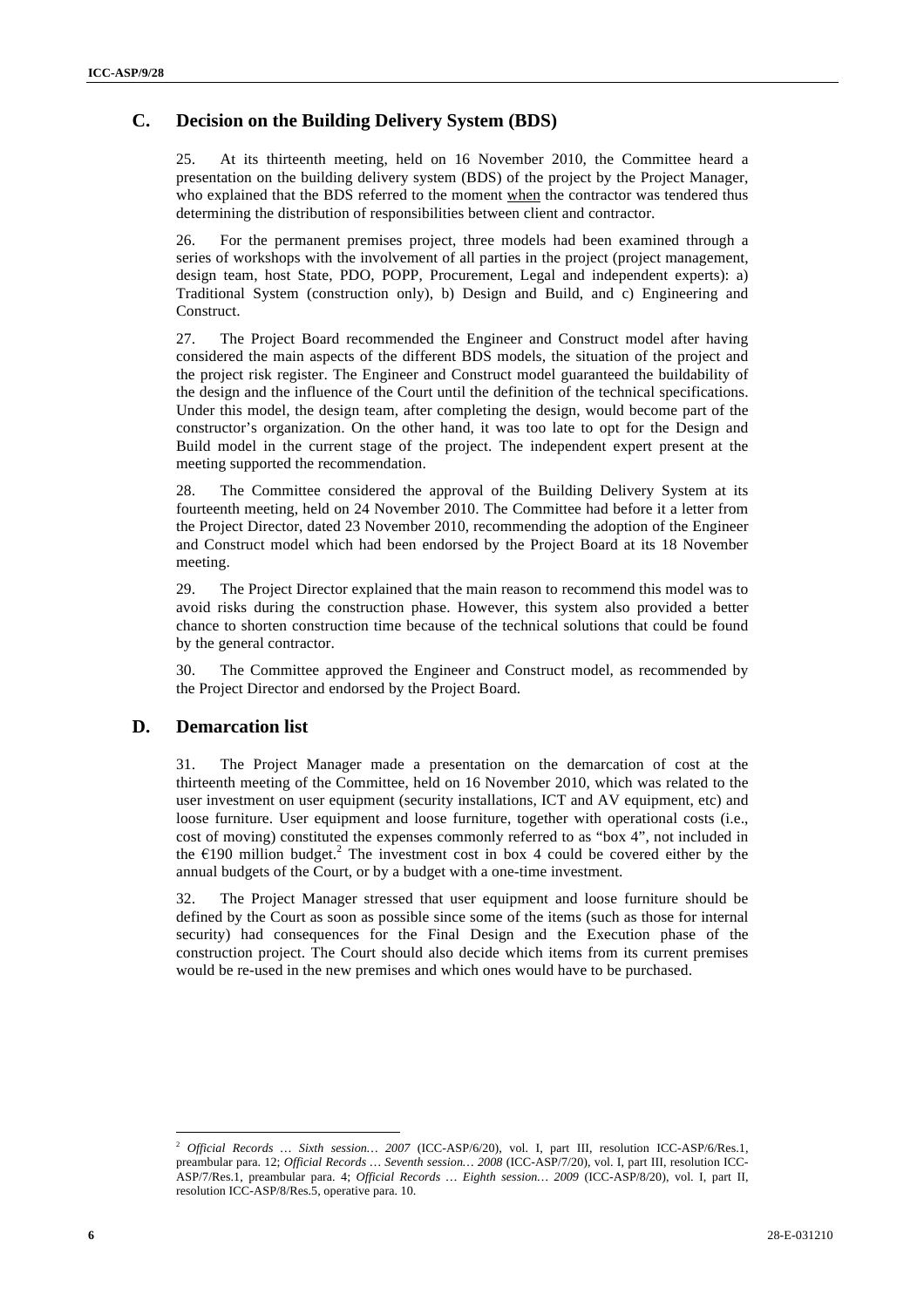#### **C. Decision on the Building Delivery System (BDS)** <sup>6</sup>

25. At its thirteenth meeting, held on 16 November 2010, the Committee heard a presentation on the building delivery system (BDS) of the project by the Project Manager, who explained that the BDS referred to the moment when the contractor was tendered thus determining the distribution of responsibilities between client and contractor.

26. For the permanent premises project, three models had been examined through a series of workshops with the involvement of all parties in the project (project management, design team, host State, PDO, POPP, Procurement, Legal and independent experts): a) Traditional System (construction only), b) Design and Build, and c) Engineering and Construct.

27. The Project Board recommended the Engineer and Construct model after having considered the main aspects of the different BDS models, the situation of the project and the project risk register. The Engineer and Construct model guaranteed the buildability of the design and the influence of the Court until the definition of the technical specifications. Under this model, the design team, after completing the design, would become part of the constructor's organization. On the other hand, it was too late to opt for the Design and Build model in the current stage of the project. The independent expert present at the meeting supported the recommendation.

28. The Committee considered the approval of the Building Delivery System at its fourteenth meeting, held on 24 November 2010. The Committee had before it a letter from the Project Director, dated 23 November 2010, recommending the adoption of the Engineer and Construct model which had been endorsed by the Project Board at its 18 November meeting.

29. The Project Director explained that the main reason to recommend this model was to avoid risks during the construction phase. However, this system also provided a better chance to shorten construction time because of the technical solutions that could be found by the general contractor.

30. The Committee approved the Engineer and Construct model, as recommended by the Project Director and endorsed by the Project Board.

#### **D. Demarcation list**

31. The Project Manager made a presentation on the demarcation of cost at the thirteenth meeting of the Committee, held on 16 November 2010, which was related to the user investment on user equipment (security installations, ICT and AV equipment, etc) and loose furniture. User equipment and loose furniture, together with operational costs (i.e., cost of moving) constituted the expenses commonly referred to as "box 4", not included in the  $\epsilon$ 190 million budget.<sup>2</sup> The investment cost in box 4 could be covered either by the annual budgets of the Court, or by a budget with a one-time investment.

32. The Project Manager stressed that user equipment and loose furniture should be defined by the Court as soon as possible since some of the items (such as those for internal security) had consequences for the Final Design and the Execution phase of the construction project. The Court should also decide which items from its current premises would be re-used in the new premises and which ones would have to be purchased.

 <sup>2</sup> *Official Records … Sixth session… 2007* (ICC-ASP/6/20), vol. I, part III, resolution ICC-ASP/6/Res.1, preambular para. 12; *Official Records … Seventh session… 2008* (ICC-ASP/7/20), vol. I, part III, resolution ICC-ASP/7/Res.1, preambular para. 4; *Official Records … Eighth session… 2009* (ICC-ASP/8/20), vol. I, part II, resolution ICC-ASP/8/Res.5, operative para. 10.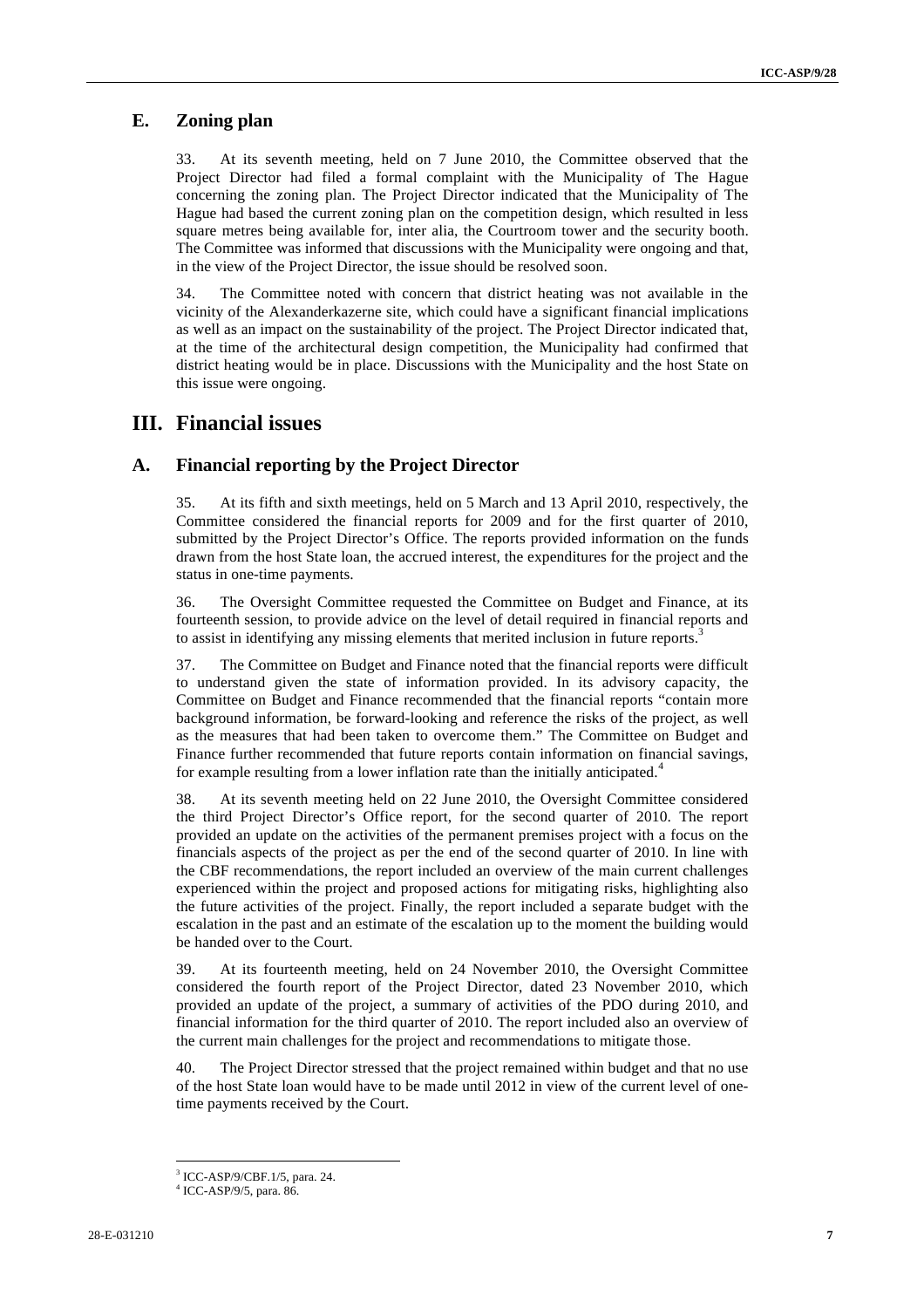#### **E. Zoning plan** <sup>7</sup>

33. At its seventh meeting, held on 7 June 2010, the Committee observed that the Project Director had filed a formal complaint with the Municipality of The Hague concerning the zoning plan. The Project Director indicated that the Municipality of The Hague had based the current zoning plan on the competition design, which resulted in less square metres being available for, inter alia, the Courtroom tower and the security booth. The Committee was informed that discussions with the Municipality were ongoing and that, in the view of the Project Director, the issue should be resolved soon.

34. The Committee noted with concern that district heating was not available in the vicinity of the Alexanderkazerne site, which could have a significant financial implications as well as an impact on the sustainability of the project. The Project Director indicated that, at the time of the architectural design competition, the Municipality had confirmed that district heating would be in place. Discussions with the Municipality and the host State on this issue were ongoing.

#### **III. Financial issues**

#### **A. Financial reporting by the Project Director**

35. At its fifth and sixth meetings, held on 5 March and 13 April 2010, respectively, the Committee considered the financial reports for 2009 and for the first quarter of 2010, submitted by the Project Director's Office. The reports provided information on the funds drawn from the host State loan, the accrued interest, the expenditures for the project and the status in one-time payments.

36. The Oversight Committee requested the Committee on Budget and Finance, at its fourteenth session, to provide advice on the level of detail required in financial reports and to assist in identifying any missing elements that merited inclusion in future reports.<sup>3</sup>

37. The Committee on Budget and Finance noted that the financial reports were difficult to understand given the state of information provided. In its advisory capacity, the Committee on Budget and Finance recommended that the financial reports "contain more background information, be forward-looking and reference the risks of the project, as well as the measures that had been taken to overcome them." The Committee on Budget and Finance further recommended that future reports contain information on financial savings, for example resulting from a lower inflation rate than the initially anticipated.<sup>4</sup>

38. At its seventh meeting held on 22 June 2010, the Oversight Committee considered the third Project Director's Office report, for the second quarter of 2010. The report provided an update on the activities of the permanent premises project with a focus on the financials aspects of the project as per the end of the second quarter of 2010. In line with the CBF recommendations, the report included an overview of the main current challenges experienced within the project and proposed actions for mitigating risks, highlighting also the future activities of the project. Finally, the report included a separate budget with the escalation in the past and an estimate of the escalation up to the moment the building would be handed over to the Court.

39. At its fourteenth meeting, held on 24 November 2010, the Oversight Committee considered the fourth report of the Project Director, dated 23 November 2010, which provided an update of the project, a summary of activities of the PDO during 2010, and financial information for the third quarter of 2010. The report included also an overview of the current main challenges for the project and recommendations to mitigate those.

40. The Project Director stressed that the project remained within budget and that no use of the host State loan would have to be made until 2012 in view of the current level of onetime payments received by the Court.

<sup>-&</sup>lt;br>3 <sup>3</sup> ICC-ASP/9/CBF.1/5, para. 24.

<sup>4</sup> ICC-ASP/9/5, para. 86.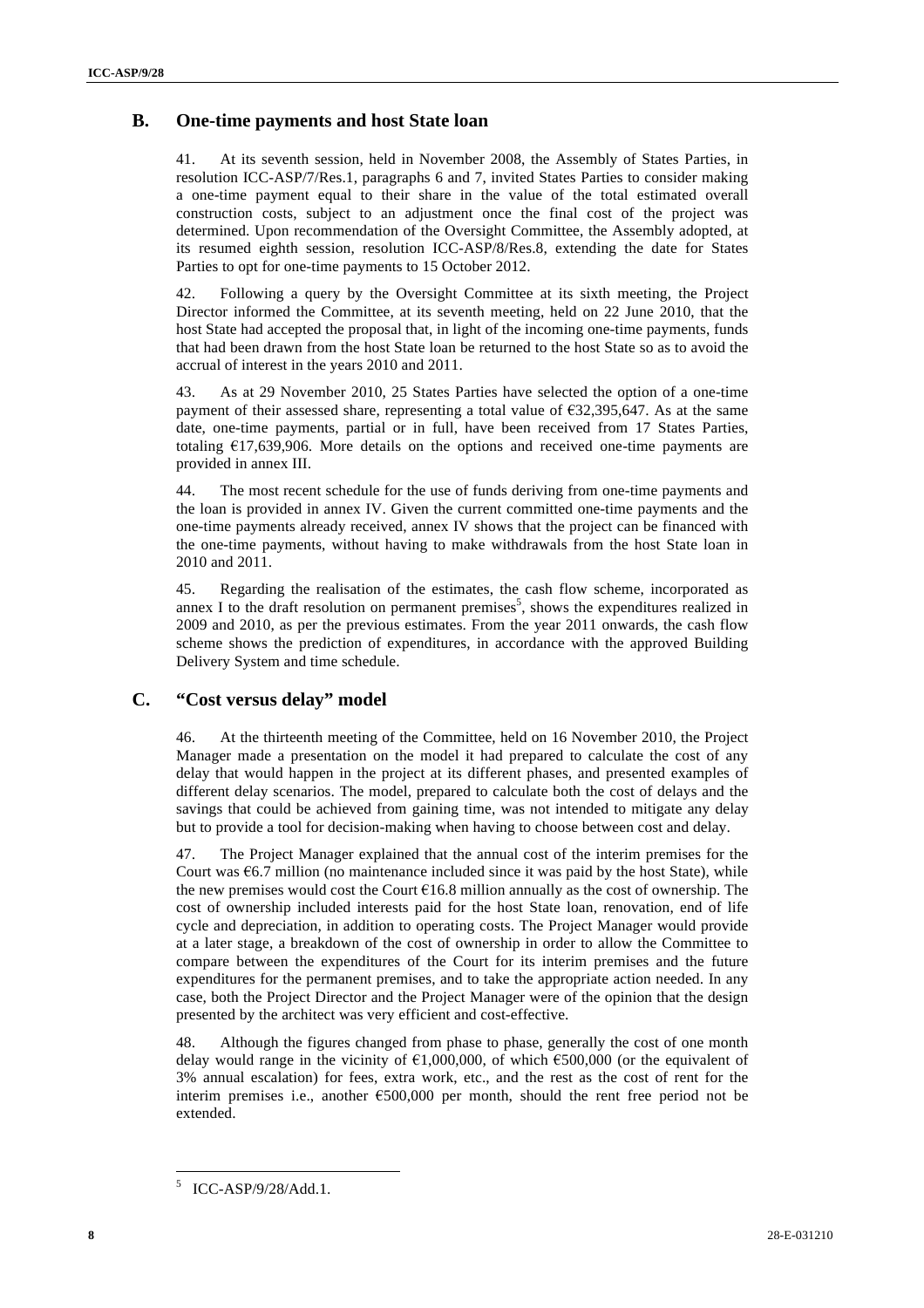#### **B.** One-time payments and host State loan **blues and host State loan**

41. At its seventh session, held in November 2008, the Assembly of States Parties, in resolution ICC-ASP/7/Res.1, paragraphs 6 and 7, invited States Parties to consider making a one-time payment equal to their share in the value of the total estimated overall construction costs, subject to an adjustment once the final cost of the project was determined. Upon recommendation of the Oversight Committee, the Assembly adopted, at its resumed eighth session, resolution ICC-ASP/8/Res.8, extending the date for States Parties to opt for one-time payments to 15 October 2012.

42. Following a query by the Oversight Committee at its sixth meeting, the Project Director informed the Committee, at its seventh meeting, held on 22 June 2010, that the host State had accepted the proposal that, in light of the incoming one-time payments, funds that had been drawn from the host State loan be returned to the host State so as to avoid the accrual of interest in the years 2010 and 2011.

43. As at 29 November 2010, 25 States Parties have selected the option of a one-time payment of their assessed share, representing a total value of  $\epsilon$ 32,395,647. As at the same date, one-time payments, partial or in full, have been received from 17 States Parties, totaling  $E17,639,906$ . More details on the options and received one-time payments are provided in annex III.

44. The most recent schedule for the use of funds deriving from one-time payments and the loan is provided in annex IV. Given the current committed one-time payments and the one-time payments already received, annex IV shows that the project can be financed with the one-time payments, without having to make withdrawals from the host State loan in 2010 and 2011.

45. Regarding the realisation of the estimates, the cash flow scheme, incorporated as annex I to the draft resolution on permanent premises<sup>5</sup>, shows the expenditures realized in 2009 and 2010, as per the previous estimates. From the year 2011 onwards, the cash flow scheme shows the prediction of expenditures, in accordance with the approved Building Delivery System and time schedule.

#### **C. "Cost versus delay" model**

46. At the thirteenth meeting of the Committee, held on 16 November 2010, the Project Manager made a presentation on the model it had prepared to calculate the cost of any delay that would happen in the project at its different phases, and presented examples of different delay scenarios. The model, prepared to calculate both the cost of delays and the savings that could be achieved from gaining time, was not intended to mitigate any delay but to provide a tool for decision-making when having to choose between cost and delay.

47. The Project Manager explained that the annual cost of the interim premises for the Court was  $6.7$  million (no maintenance included since it was paid by the host State), while the new premises would cost the Court  $\epsilon$ 16.8 million annually as the cost of ownership. The cost of ownership included interests paid for the host State loan, renovation, end of life cycle and depreciation, in addition to operating costs. The Project Manager would provide at a later stage, a breakdown of the cost of ownership in order to allow the Committee to compare between the expenditures of the Court for its interim premises and the future expenditures for the permanent premises, and to take the appropriate action needed. In any case, both the Project Director and the Project Manager were of the opinion that the design presented by the architect was very efficient and cost-effective.

48. Although the figures changed from phase to phase, generally the cost of one month delay would range in the vicinity of  $\epsilon$ 1,000,000, of which  $\epsilon$ 500,000 (or the equivalent of 3% annual escalation) for fees, extra work, etc., and the rest as the cost of rent for the interim premises i.e., another  $\epsilon$ 500,000 per month, should the rent free period not be extended.

 $\frac{1}{5}$ ICC-ASP/9/28/Add.1.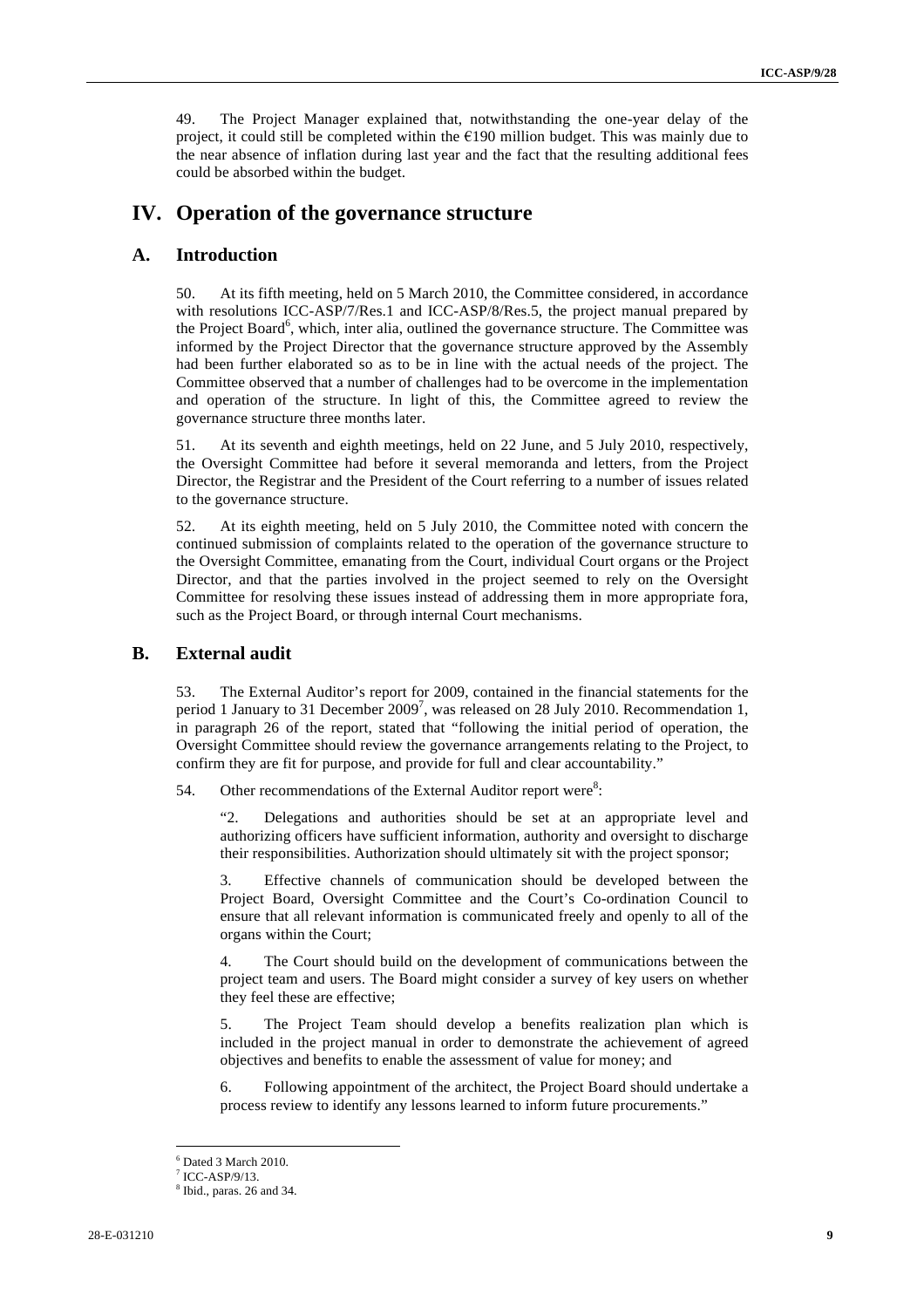49. The Project Manager explained that, notwithstanding the one-year delay of the <sup>9</sup> project, it could still be completed within the  $E190$  million budget. This was mainly due to the near absence of inflation during last year and the fact that the resulting additional fees could be absorbed within the budget.

#### **IV. Operation of the governance structure**

#### **A. Introduction**

50. At its fifth meeting, held on 5 March 2010, the Committee considered, in accordance with resolutions ICC-ASP/7/Res.1 and ICC-ASP/8/Res.5, the project manual prepared by the Project Board<sup>6</sup>, which, inter alia, outlined the governance structure. The Committee was informed by the Project Director that the governance structure approved by the Assembly had been further elaborated so as to be in line with the actual needs of the project. The Committee observed that a number of challenges had to be overcome in the implementation and operation of the structure. In light of this, the Committee agreed to review the governance structure three months later.

51. At its seventh and eighth meetings, held on 22 June, and 5 July 2010, respectively, the Oversight Committee had before it several memoranda and letters, from the Project Director, the Registrar and the President of the Court referring to a number of issues related to the governance structure.

52. At its eighth meeting, held on 5 July 2010, the Committee noted with concern the continued submission of complaints related to the operation of the governance structure to the Oversight Committee, emanating from the Court, individual Court organs or the Project Director, and that the parties involved in the project seemed to rely on the Oversight Committee for resolving these issues instead of addressing them in more appropriate fora, such as the Project Board, or through internal Court mechanisms.

#### **B. External audit**

53. The External Auditor's report for 2009, contained in the financial statements for the period 1 January to 31 December  $2009^7$ , was released on 28 July 2010. Recommendation 1, in paragraph 26 of the report, stated that "following the initial period of operation, the Oversight Committee should review the governance arrangements relating to the Project, to confirm they are fit for purpose, and provide for full and clear accountability."

54. Other recommendations of the External Auditor report were $8$ :

"2. Delegations and authorities should be set at an appropriate level and authorizing officers have sufficient information, authority and oversight to discharge their responsibilities. Authorization should ultimately sit with the project sponsor;

3. Effective channels of communication should be developed between the Project Board, Oversight Committee and the Court's Co-ordination Council to ensure that all relevant information is communicated freely and openly to all of the organs within the Court;

4. The Court should build on the development of communications between the project team and users. The Board might consider a survey of key users on whether they feel these are effective;

5. The Project Team should develop a benefits realization plan which is included in the project manual in order to demonstrate the achievement of agreed objectives and benefits to enable the assessment of value for money; and

6. Following appointment of the architect, the Project Board should undertake a process review to identify any lessons learned to inform future procurements."

 $\frac{1}{6}$ Dated 3 March 2010.

ICC-ASP/9/13.

<sup>8</sup> Ibid., paras. 26 and 34.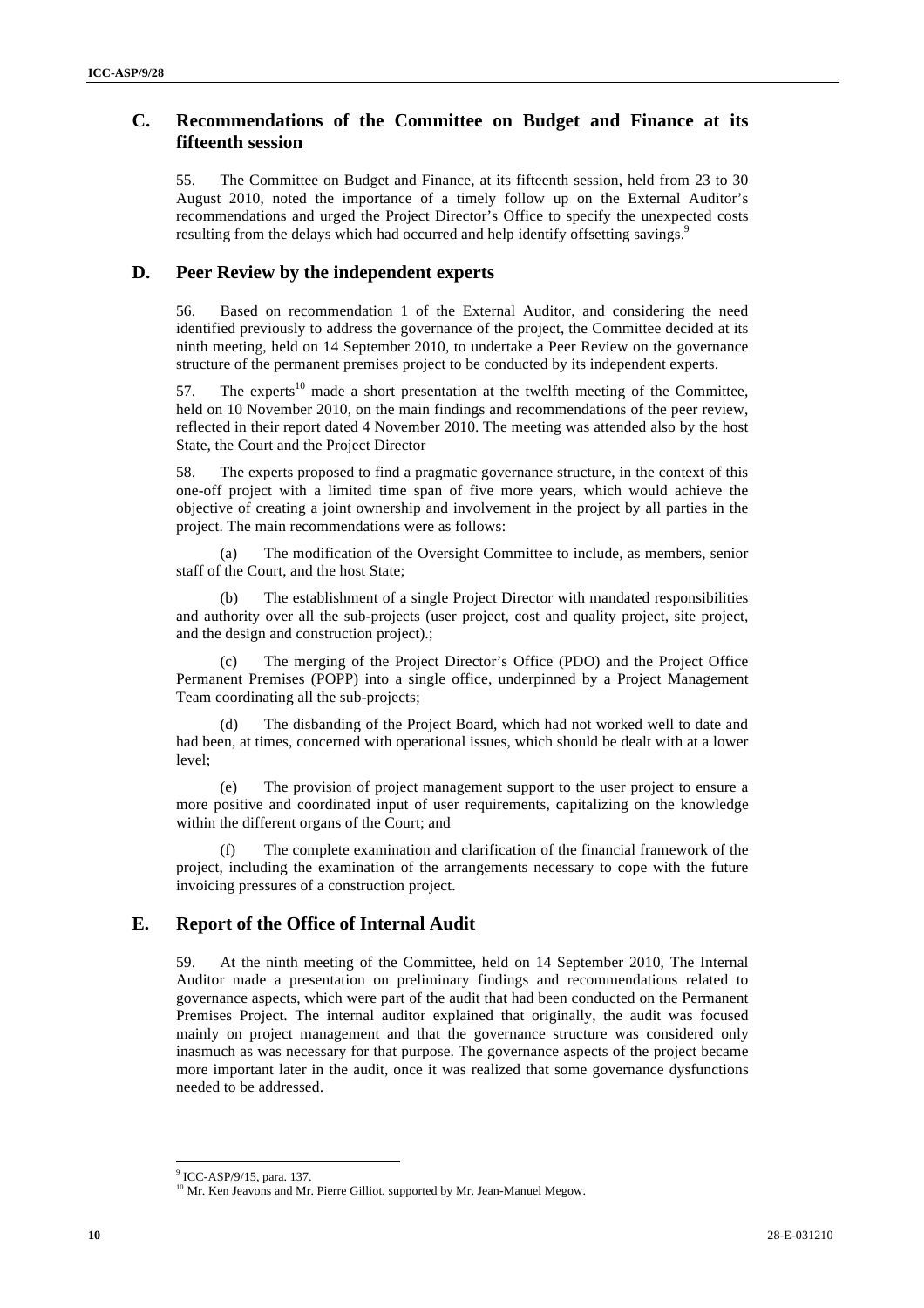#### **C. Recommendations of the Committee on Budget a nd Finance at its fifteenth session**

55. The Committee on Budget and Finance, at its fifteenth session, held from 23 to 30 August 2010, noted the importance of a timely follow up on the External Auditor's recommendations and urged the Project Director's Office to specify the unexpected costs resulting from the delays which had occurred and help identify offsetting savings.<sup>9</sup>

#### **D. Peer Review by the independent experts**

56. Based on recommendation 1 of the External Auditor, and considering the need identified previously to address the governance of the project, the Committee decided at its ninth meeting, held on 14 September 2010, to undertake a Peer Review on the governance structure of the permanent premises project to be conducted by its independent experts.

57. The experts<sup>10</sup> made a short presentation at the twelfth meeting of the Committee, held on 10 November 2010, on the main findings and recommendations of the peer review, reflected in their report dated 4 November 2010. The meeting was attended also by the host State, the Court and the Project Director

58. The experts proposed to find a pragmatic governance structure, in the context of this one-off project with a limited time span of five more years, which would achieve the objective of creating a joint ownership and involvement in the project by all parties in the project. The main recommendations were as follows:

(a) The modification of the Oversight Committee to include, as members, senior staff of the Court, and the host State;

(b) The establishment of a single Project Director with mandated responsibilities and authority over all the sub-projects (user project, cost and quality project, site project, and the design and construction project).;

The merging of the Project Director's Office (PDO) and the Project Office Permanent Premises (POPP) into a single office, underpinned by a Project Management Team coordinating all the sub-projects;

(d) The disbanding of the Project Board, which had not worked well to date and had been, at times, concerned with operational issues, which should be dealt with at a lower level;

(e) The provision of project management support to the user project to ensure a more positive and coordinated input of user requirements, capitalizing on the knowledge within the different organs of the Court; and

The complete examination and clarification of the financial framework of the project, including the examination of the arrangements necessary to cope with the future invoicing pressures of a construction project.

#### **E. Report of the Office of Internal Audit**

59. At the ninth meeting of the Committee, held on 14 September 2010, The Internal Auditor made a presentation on preliminary findings and recommendations related to governance aspects, which were part of the audit that had been conducted on the Permanent Premises Project. The internal auditor explained that originally, the audit was focused mainly on project management and that the governance structure was considered only inasmuch as was necessary for that purpose. The governance aspects of the project became more important later in the audit, once it was realized that some governance dysfunctions needed to be addressed.

<sup>-&</sup>lt;br>9 ICC-ASP/9/15, para. 137.

<sup>&</sup>lt;sup>10</sup> Mr. Ken Jeavons and Mr. Pierre Gilliot, supported by Mr. Jean-Manuel Megow.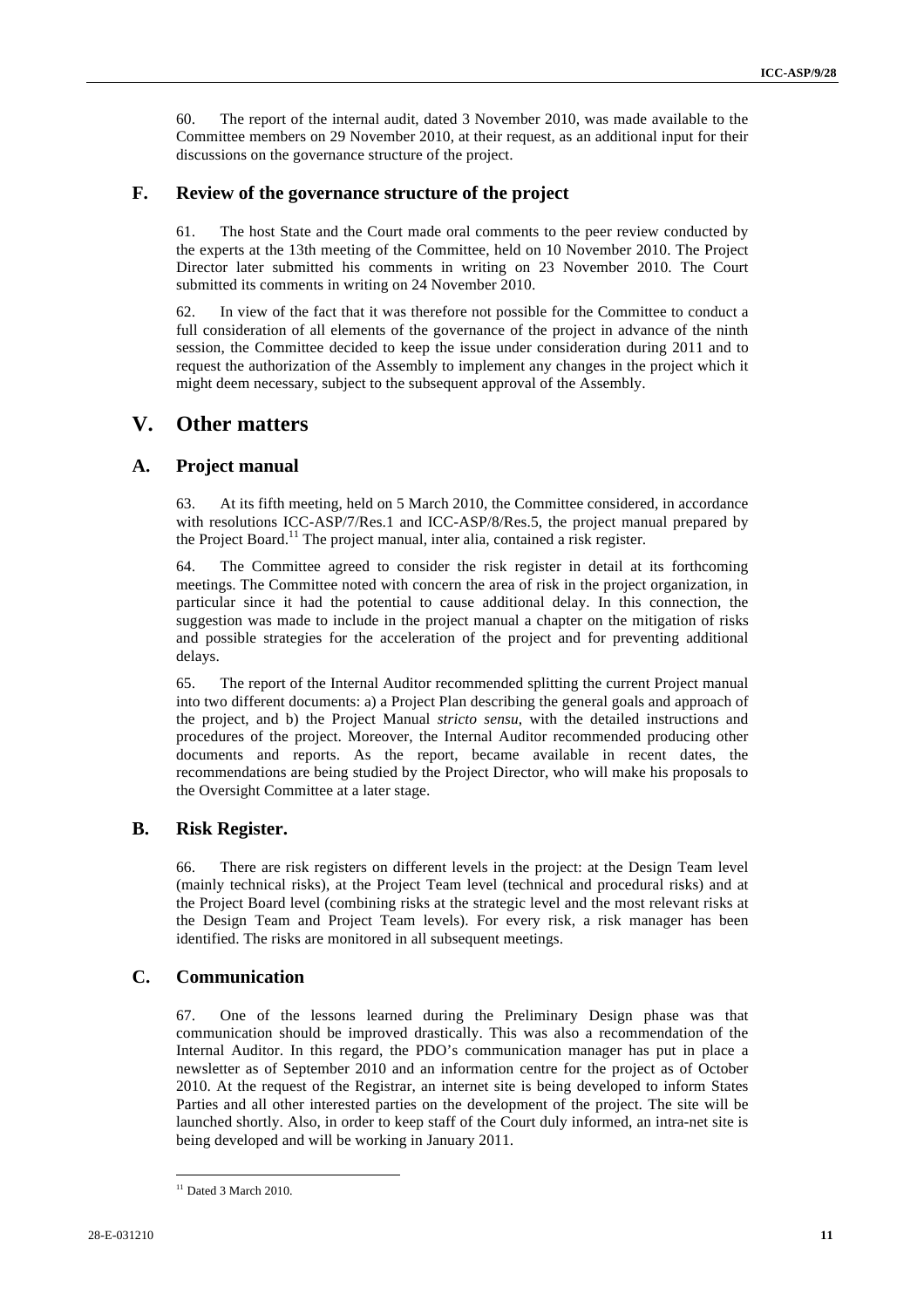60. The report of the internal audit, dated 3 November 2010, was made available to the Committee members on 29 November 2010, at their request, as an additional input for their discussions on the governance structure of the project.

#### **F. Review of the governance structure of the project**

The host State and the Court made oral comments to the peer review conducted by the experts at the 13th meeting of the Committee, held on 10 November 2010. The Project Director later submitted his comments in writing on 23 November 2010. The Court submitted its comments in writing on 24 November 2010.

62. In view of the fact that it was therefore not possible for the Committee to conduct a full consideration of all elements of the governance of the project in advance of the ninth session, the Committee decided to keep the issue under consideration during 2011 and to request the authorization of the Assembly to implement any changes in the project which it might deem necessary, subject to the subsequent approval of the Assembly.

#### **V. Other matters**

#### **A. Project manual**

63. At its fifth meeting, held on 5 March 2010, the Committee considered, in accordance with resolutions ICC-ASP/7/Res.1 and ICC-ASP/8/Res.5, the project manual prepared by the Project Board.<sup>11</sup> The project manual, inter alia, contained a risk register.

64. The Committee agreed to consider the risk register in detail at its forthcoming meetings. The Committee noted with concern the area of risk in the project organization, in particular since it had the potential to cause additional delay. In this connection, the suggestion was made to include in the project manual a chapter on the mitigation of risks and possible strategies for the acceleration of the project and for preventing additional delays.

65. The report of the Internal Auditor recommended splitting the current Project manual into two different documents: a) a Project Plan describing the general goals and approach of the project, and b) the Project Manual *stricto sensu*, with the detailed instructions and procedures of the project. Moreover, the Internal Auditor recommended producing other documents and reports. As the report, became available in recent dates, the recommendations are being studied by the Project Director, who will make his proposals to the Oversight Committee at a later stage.

#### **B. Risk Register.**

66. There are risk registers on different levels in the project: at the Design Team level (mainly technical risks), at the Project Team level (technical and procedural risks) and at the Project Board level (combining risks at the strategic level and the most relevant risks at the Design Team and Project Team levels). For every risk, a risk manager has been identified. The risks are monitored in all subsequent meetings.

#### **C. Communication**

67. One of the lessons learned during the Preliminary Design phase was that communication should be improved drastically. This was also a recommendation of the Internal Auditor. In this regard, the PDO's communication manager has put in place a newsletter as of September 2010 and an information centre for the project as of October 2010. At the request of the Registrar, an internet site is being developed to inform States Parties and all other interested parties on the development of the project. The site will be launched shortly. Also, in order to keep staff of the Court duly informed, an intra-net site is being developed and will be working in January 2011.

 $11$  Dated 3 March 2010.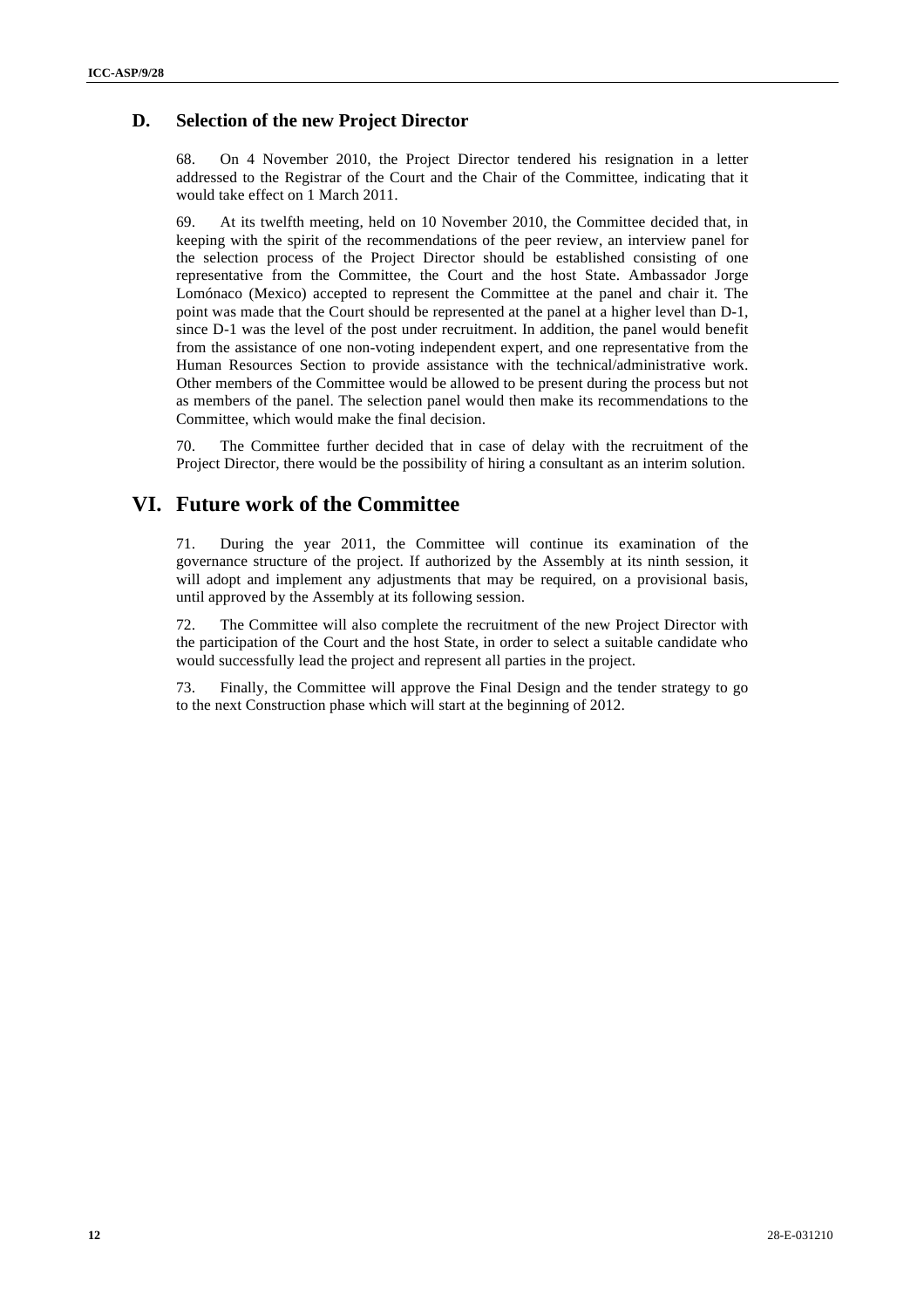#### **D. Selection of the new Project Director**

68. On 4 November 2010, the Project Director tendered his resignation in a letter addressed to the Registrar of the Court and the Chair of the Committee, indicating that it would take effect on 1 March 2011.

69. At its twelfth meeting, held on 10 November 2010, the Committee decided that, in keeping with the spirit of the recommendations of the peer review, an interview panel for the selection process of the Project Director should be established consisting of one representative from the Committee, the Court and the host State. Ambassador Jorge Lomónaco (Mexico) accepted to represent the Committee at the panel and chair it. The point was made that the Court should be represented at the panel at a higher level than D-1, since D-1 was the level of the post under recruitment. In addition, the panel would benefit from the assistance of one non-voting independent expert, and one representative from the Human Resources Section to provide assistance with the technical/administrative work. Other members of the Committee would be allowed to be present during the process but not as members of the panel. The selection panel would then make its recommendations to the Committee, which would make the final decision.

70. The Committee further decided that in case of delay with the recruitment of the Project Director, there would be the possibility of hiring a consultant as an interim solution.

#### **VI. Future work of the Committee**

71. During the year 2011, the Committee will continue its examination of the governance structure of the project. If authorized by the Assembly at its ninth session, it will adopt and implement any adjustments that may be required, on a provisional basis, until approved by the Assembly at its following session.

72. The Committee will also complete the recruitment of the new Project Director with the participation of the Court and the host State, in order to select a suitable candidate who would successfully lead the project and represent all parties in the project.

73. Finally, the Committee will approve the Final Design and the tender strategy to go to the next Construction phase which will start at the beginning of 2012.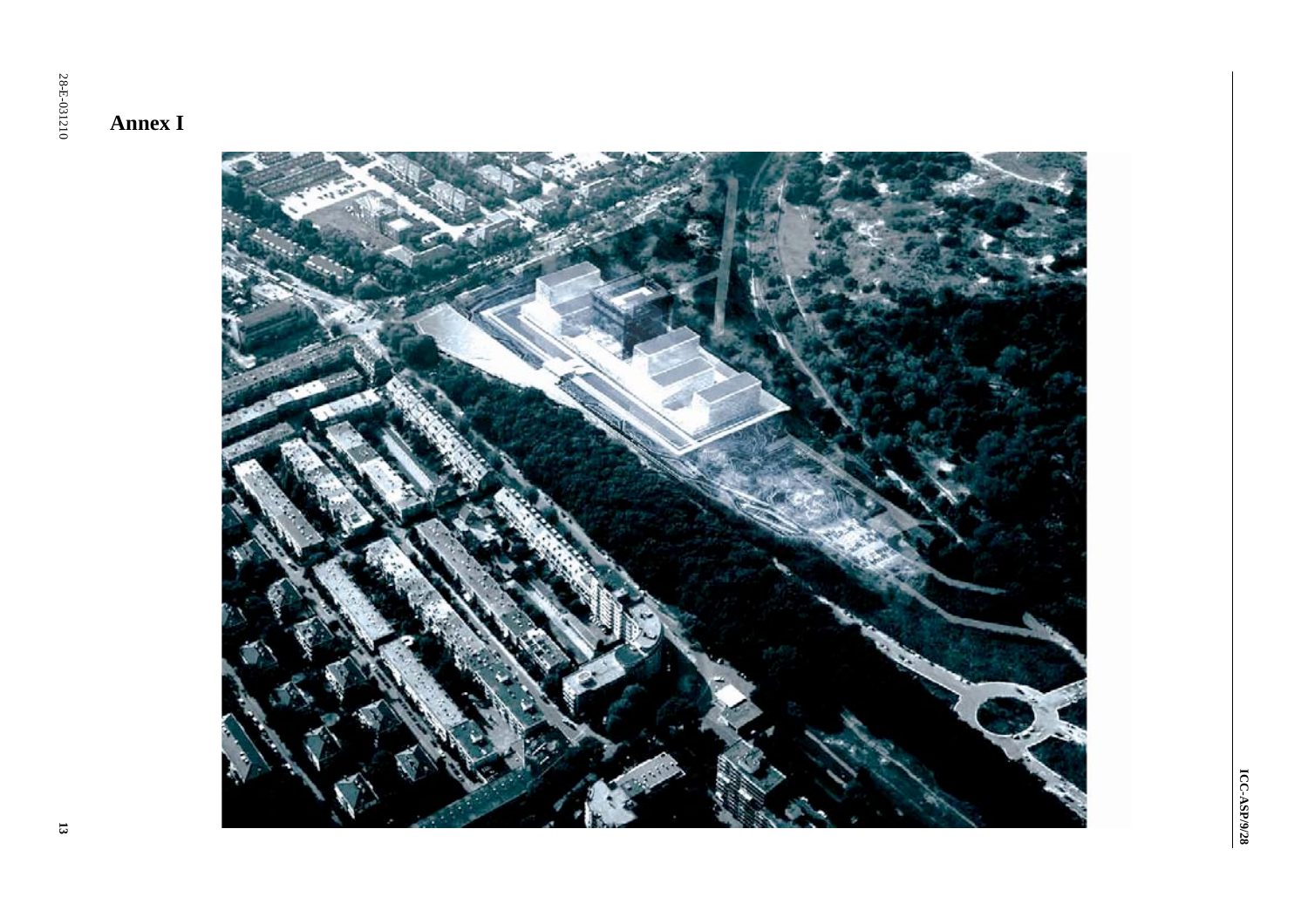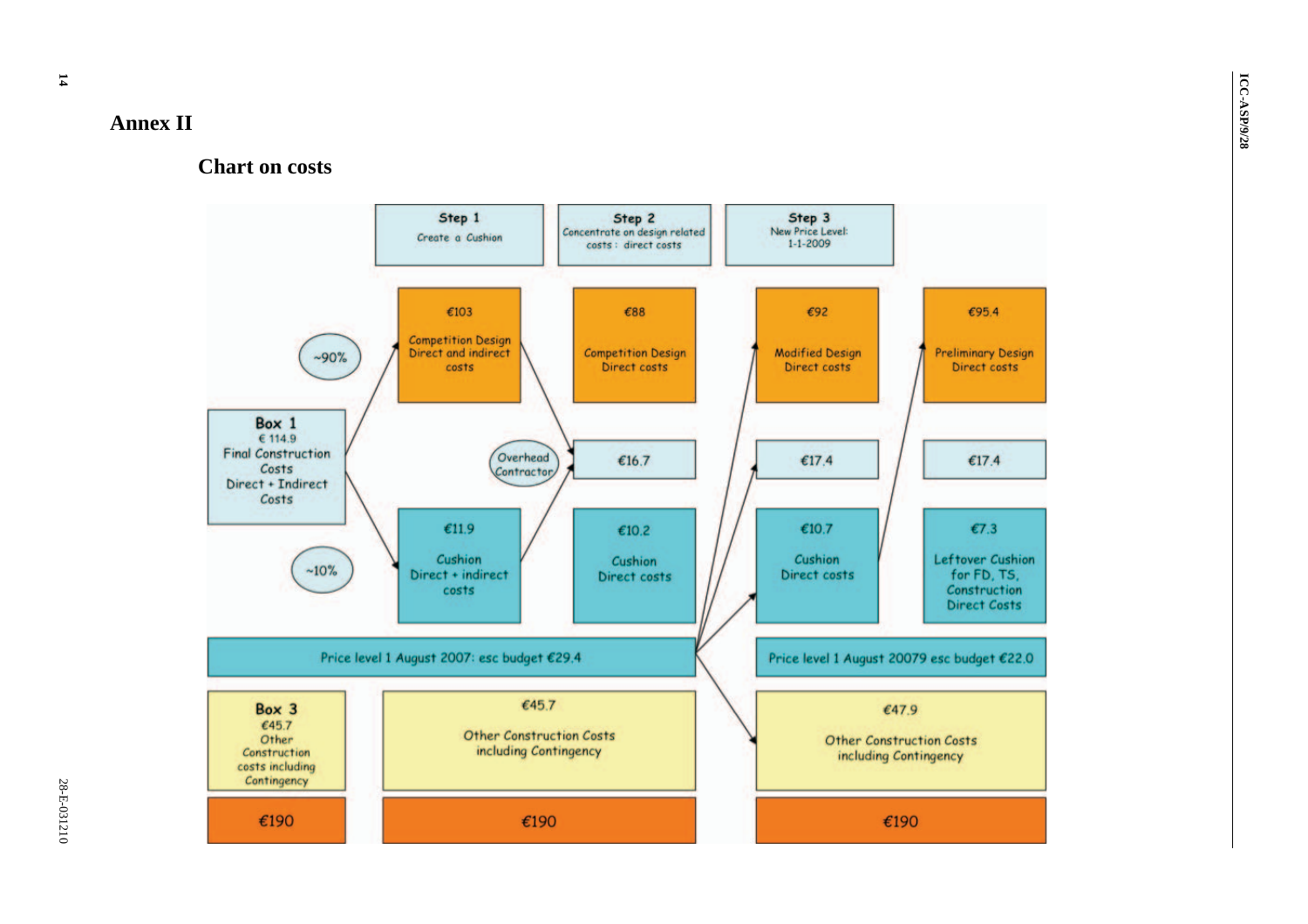#### **Annex II**

#### **Chart on costs**

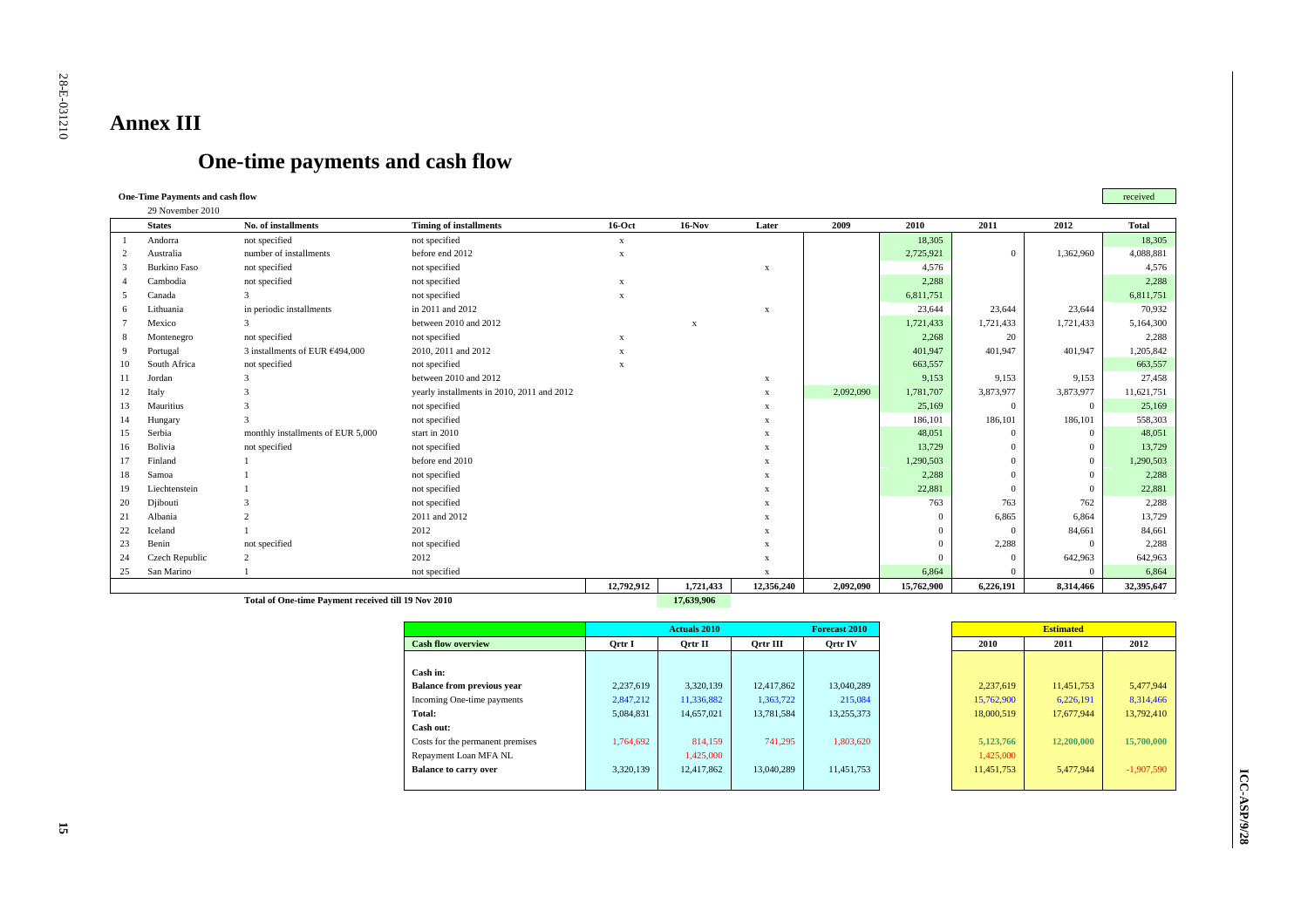# **Annex III**

## **One-time payments and cash flow**

#### **One-Time Payments and cash flow** received  $29.20$

|        | 29 November 2010    |                                                     |                                            |                           |              |             |           |            |                |           |              |
|--------|---------------------|-----------------------------------------------------|--------------------------------------------|---------------------------|--------------|-------------|-----------|------------|----------------|-----------|--------------|
|        | <b>States</b>       | No. of installments                                 | <b>Timing of installments</b>              | $16-Oct$                  | $16-Nov$     | Later       | 2009      | 2010       | 2011           | 2012      | <b>Total</b> |
|        | Andorra             | not specified                                       | not specified                              | $\mathbf{x}$              |              |             |           | 18,305     |                |           | 18,305       |
|        | Australia           | number of installments                              | before end 2012                            | $\boldsymbol{\mathrm{X}}$ |              |             |           | 2,725,921  | $\overline{0}$ | 1,362,960 | 4,088,881    |
| 3      | <b>Burkino Faso</b> | not specified                                       | not specified                              |                           |              | $\bf{x}$    |           | 4,576      |                |           | 4,576        |
|        | Cambodia            | not specified                                       | not specified                              | $\mathbf{x}$              |              |             |           | 2,288      |                |           | 2,288        |
| $\sim$ | Canada              |                                                     | not specified                              | $\mathbf{x}$              |              |             |           | 6,811,751  |                |           | 6,811,751    |
|        | Lithuania           | in periodic installments                            | in 2011 and 2012                           |                           |              | X           |           | 23,644     | 23,644         | 23,644    | 70,932       |
|        | Mexico              |                                                     | between 2010 and 2012                      |                           | $\mathbf{x}$ |             |           | 1,721,433  | 1,721,433      | 1,721,433 | 5,164,300    |
| 8      | Montenegro          | not specified                                       | not specified                              | X                         |              |             |           | 2,268      | 20             |           | 2,288        |
| 9      | Portugal            | 3 installments of EUR €494,000                      | 2010, 2011 and 2012                        | $\mathbf{x}$              |              |             |           | 401,947    | 401,947        | 401,947   | 1,205,842    |
| 10     | South Africa        | not specified                                       | not specified                              | $\mathbf{x}$              |              |             |           | 663,557    |                |           | 663,557      |
| 11     | Jordan              |                                                     | between 2010 and 2012                      |                           |              | x           |           | 9,153      | 9,153          | 9,153     | 27,458       |
| 12     | Italy               |                                                     | yearly installments in 2010, 2011 and 2012 |                           |              | X           | 2,092,090 | 1,781,707  | 3,873,977      | 3,873,977 | 11,621,751   |
| 13     | Mauritius           |                                                     | not specified                              |                           |              |             |           | 25,169     | $\overline{0}$ | $\Omega$  | 25,169       |
| 14     | Hungary             |                                                     | not specified                              |                           |              |             |           | 186,101    | 186,101        | 186,101   | 558,303      |
| 15     | Serbia              | monthly installments of EUR 5,000                   | start in 2010                              |                           |              |             |           | 48,051     | $\Omega$       | $\Omega$  | 48,051       |
| 16     | Bolivia             | not specified                                       | not specified                              |                           |              |             |           | 13,729     | $\Omega$       | $\Omega$  | 13,729       |
| 17     | Finland             |                                                     | before end 2010                            |                           |              |             |           | 1,290,503  | $\Omega$       | $\Omega$  | 1,290,503    |
| 18     | Samoa               |                                                     | not specified                              |                           |              |             |           | 2,288      | $\Omega$       | $\Omega$  | 2,288        |
| 19     | Liechtenstein       |                                                     | not specified                              |                           |              |             |           | 22,881     | $\Omega$       |           | 22,881       |
| 20     | Djibouti            |                                                     | not specified                              |                           |              |             |           | 763        | 763            | 762       | 2,288        |
| 21     | Albania             |                                                     | 2011 and 2012                              |                           |              |             |           | $\Omega$   | 6,865          | 6,864     | 13,729       |
| 22     | Iceland             |                                                     | 2012                                       |                           |              |             |           | $\Omega$   | $\Omega$       | 84,661    | 84,661       |
| 23     | Benin               | not specified                                       | not specified                              |                           |              |             |           | $\Omega$   | 2,288          | $\Omega$  | 2,288        |
| 24     | Czech Republic      | $\overline{2}$                                      | 2012                                       |                           |              | X           |           | $\Omega$   | $\Omega$       | 642,963   | 642,963      |
| 25     | San Marino          |                                                     | not specified                              |                           |              | $\mathbf x$ |           | 6,864      | $\Omega$       |           | 6,864        |
|        |                     |                                                     |                                            | 12,792,912                | 1,721,433    | 12,356,240  | 2,092,090 | 15,762,900 | 6,226,191      | 8,314,466 | 32,395,647   |
|        |                     | Total of One-time Payment received till 19 Nov 2010 |                                            |                           | 17,639,906   |             |           |            |                |           |              |

|                                   |           | <b>Actuals 2010</b> |            | Forecast 2010 |  |  |
|-----------------------------------|-----------|---------------------|------------|---------------|--|--|
| <b>Cash flow overview</b>         | Ortr I    | Ortr II             | Qrtr III   | Ortr IV       |  |  |
|                                   |           |                     |            |               |  |  |
| Cash in:                          |           |                     |            |               |  |  |
| <b>Balance from previous year</b> | 2,237,619 | 3,320,139           | 12,417,862 | 13.040.289    |  |  |
| Incoming One-time payments        | 2,847,212 | 11.336,882          | 1.363.722  | 215.084       |  |  |
| Total:                            | 5.084.831 | 14,657,021          | 13.781.584 | 13.255.373    |  |  |
| Cash out:                         |           |                     |            |               |  |  |
| Costs for the permanent premises  | 1.764.692 | 814,159             | 741.295    | 1.803.620     |  |  |
| Repayment Loan MFA NL             |           | 1.425,000           |            |               |  |  |
| <b>Balance to carry over</b>      | 3.320.139 | 12,417,862          | 13.040.289 | 11.451.753    |  |  |
|                                   |           |                     |            |               |  |  |

| <b>Estimated</b> |            |              |  |  |  |  |  |  |  |  |  |
|------------------|------------|--------------|--|--|--|--|--|--|--|--|--|
| 2010             | 2011       | 2012         |  |  |  |  |  |  |  |  |  |
|                  |            |              |  |  |  |  |  |  |  |  |  |
|                  |            |              |  |  |  |  |  |  |  |  |  |
| 2,237,619        | 11,451,753 | 5.477.944    |  |  |  |  |  |  |  |  |  |
| 15,762,900       | 6,226,191  | 8.314.466    |  |  |  |  |  |  |  |  |  |
| 18,000.519       | 17.677.944 | 13.792.410   |  |  |  |  |  |  |  |  |  |
|                  |            |              |  |  |  |  |  |  |  |  |  |
| 5,123,766        | 12,200,000 | 15,700,000   |  |  |  |  |  |  |  |  |  |
| 1,425,000        |            |              |  |  |  |  |  |  |  |  |  |
| 11,451,753       | 5.477.944  | $-1,907,590$ |  |  |  |  |  |  |  |  |  |
|                  |            |              |  |  |  |  |  |  |  |  |  |